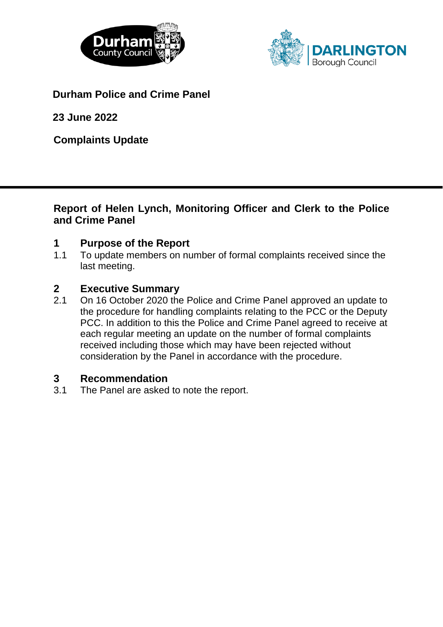



**Durham Police and Crime Panel**

**23 June 2022**

**Complaints Update**

## **Report of Helen Lynch, Monitoring Officer and Clerk to the Police and Crime Panel**

# **1 Purpose of the Report**

1.1 To update members on number of formal complaints received since the last meeting.

## **2 Executive Summary**

2.1 On 16 October 2020 the Police and Crime Panel approved an update to the procedure for handling complaints relating to the PCC or the Deputy PCC. In addition to this the Police and Crime Panel agreed to receive at each regular meeting an update on the number of formal complaints received including those which may have been rejected without consideration by the Panel in accordance with the procedure.

## **3 Recommendation**

3.1 The Panel are asked to note the report.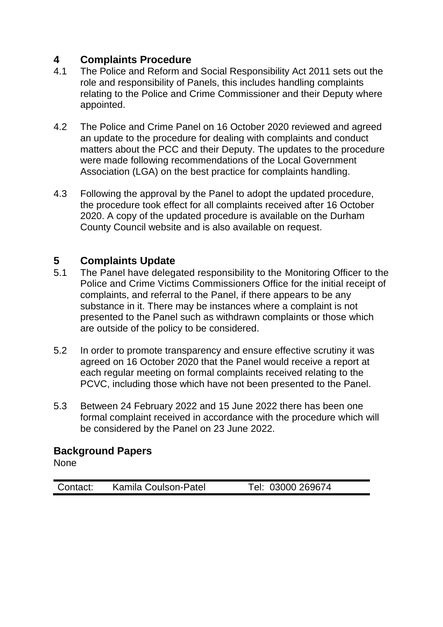# **4 Complaints Procedure**

- 4.1 The Police and Reform and Social Responsibility Act 2011 sets out the role and responsibility of Panels, this includes handling complaints relating to the Police and Crime Commissioner and their Deputy where appointed.
- 4.2 The Police and Crime Panel on 16 October 2020 reviewed and agreed an update to the procedure for dealing with complaints and conduct matters about the PCC and their Deputy. The updates to the procedure were made following recommendations of the Local Government Association (LGA) on the best practice for complaints handling.
- 4.3 Following the approval by the Panel to adopt the updated procedure, the procedure took effect for all complaints received after 16 October 2020. A copy of the updated procedure is available on the Durham County Council website and is also available on request.

# **5 Complaints Update**

- 5.1 The Panel have delegated responsibility to the Monitoring Officer to the Police and Crime Victims Commissioners Office for the initial receipt of complaints, and referral to the Panel, if there appears to be any substance in it. There may be instances where a complaint is not presented to the Panel such as withdrawn complaints or those which are outside of the policy to be considered.
- 5.2 In order to promote transparency and ensure effective scrutiny it was agreed on 16 October 2020 that the Panel would receive a report at each regular meeting on formal complaints received relating to the PCVC, including those which have not been presented to the Panel.
- 5.3 Between 24 February 2022 and 15 June 2022 there has been one formal complaint received in accordance with the procedure which will be considered by the Panel on 23 June 2022.

## **Background Papers**

None